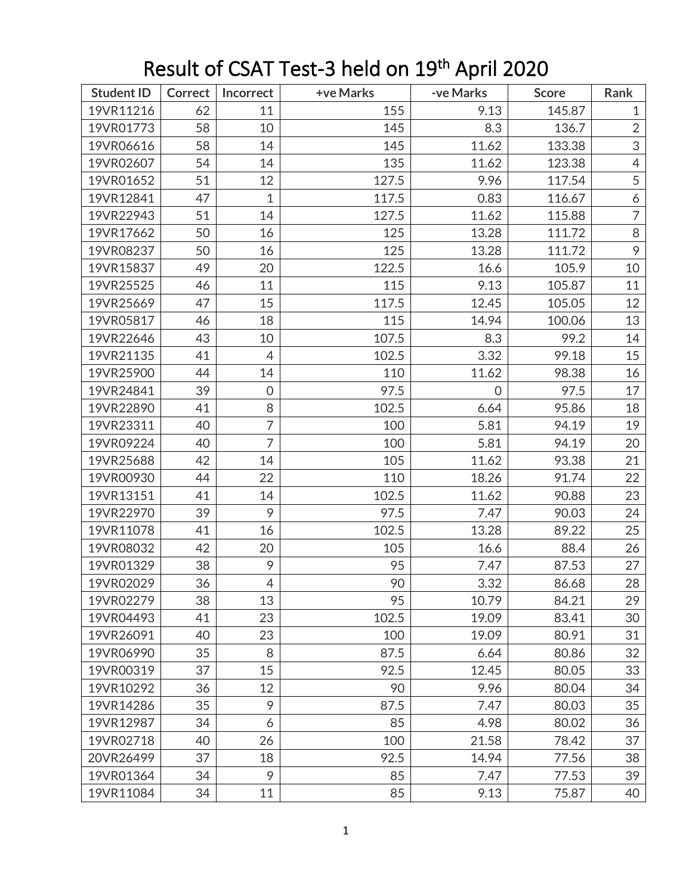| <b>Student ID</b> | <b>Correct</b> | Incorrect      | +ve Marks | -ve Marks      | <b>Score</b> | Rank                      |
|-------------------|----------------|----------------|-----------|----------------|--------------|---------------------------|
| 19VR11216         | 62             | 11             | 155       | 9.13           | 145.87       | $\mathbf{1}$              |
| 19VR01773         | 58             | 10             | 145       | 8.3            | 136.7        | $\overline{2}$            |
| 19VR06616         | 58             | 14             | 145       | 11.62          | 133.38       | $\ensuremath{\mathsf{3}}$ |
| 19VR02607         | 54             | 14             | 135       | 11.62          | 123.38       | $\overline{4}$            |
| 19VR01652         | 51             | 12             | 127.5     | 9.96           | 117.54       | $\mathfrak s$             |
| 19VR12841         | 47             | $\mathbf 1$    | 117.5     | 0.83           | 116.67       | $\boldsymbol{6}$          |
| 19VR22943         | 51             | 14             | 127.5     | 11.62          | 115.88       | $\overline{7}$            |
| 19VR17662         | 50             | 16             | 125       | 13.28          | 111.72       | $\, 8$                    |
| 19VR08237         | 50             | 16             | 125       | 13.28          | 111.72       | $\mathcal{P}$             |
| 19VR15837         | 49             | 20             | 122.5     | 16.6           | 105.9        | $10$                      |
| 19VR25525         | 46             | 11             | 115       | 9.13           | 105.87       | 11                        |
| 19VR25669         | 47             | 15             | 117.5     | 12.45          | 105.05       | 12                        |
| 19VR05817         | 46             | 18             | 115       | 14.94          | 100.06       | 13                        |
| 19VR22646         | 43             | 10             | 107.5     | 8.3            | 99.2         | 14                        |
| 19VR21135         | 41             | 4              | 102.5     | 3.32           | 99.18        | 15                        |
| 19VR25900         | 44             | 14             | 110       | 11.62          | 98.38        | 16                        |
| 19VR24841         | 39             | $\mathbf 0$    | 97.5      | $\overline{0}$ | 97.5         | 17                        |
| 19VR22890         | 41             | 8              | 102.5     | 6.64           | 95.86        | 18                        |
| 19VR23311         | 40             | 7              | 100       | 5.81           | 94.19        | 19                        |
| 19VR09224         | 40             | $\overline{7}$ | 100       | 5.81           | 94.19        | 20                        |
| 19VR25688         | 42             | 14             | 105       | 11.62          | 93.38        | 21                        |
| 19VR00930         | 44             | 22             | 110       | 18.26          | 91.74        | 22                        |
| 19VR13151         | 41             | 14             | 102.5     | 11.62          | 90.88        | 23                        |
| 19VR22970         | 39             | 9              | 97.5      | 7.47           | 90.03        | 24                        |
| 19VR11078         | 41             | 16             | 102.5     | 13.28          | 89.22        | 25                        |
| 19VR08032         | 42             | 20             | 105       | 16.6           | 88.4         | 26                        |
| 19VR01329         | 38             | 9              | 95        | 7.47           | 87.53        | 27                        |
| 19VR02029         | 36             | $\overline{4}$ | 90        | 3.32           | 86.68        | 28                        |
| 19VR02279         | 38             | 13             | 95        | 10.79          | 84.21        | 29                        |
| 19VR04493         | 41             | 23             | 102.5     | 19.09          | 83.41        | 30                        |
| 19VR26091         | 40             | 23             | 100       | 19.09          | 80.91        | 31                        |
| 19VR06990         | 35             | 8              | 87.5      | 6.64           | 80.86        | 32                        |
| 19VR00319         | 37             | 15             | 92.5      | 12.45          | 80.05        | 33                        |
| 19VR10292         | 36             | 12             | 90        | 9.96           | 80.04        | 34                        |
| 19VR14286         | 35             | 9              | 87.5      | 7.47           | 80.03        | 35                        |
| 19VR12987         | 34             | 6              | 85        | 4.98           | 80.02        | 36                        |
| 19VR02718         | 40             | 26             | 100       | 21.58          | 78.42        | 37                        |
| 20VR26499         | 37             | 18             | 92.5      | 14.94          | 77.56        | 38                        |
| 19VR01364         | 34             | 9              | 85        | 7.47           | 77.53        | 39                        |
| 19VR11084         | 34             | 11             | 85        | 9.13           | 75.87        | 40                        |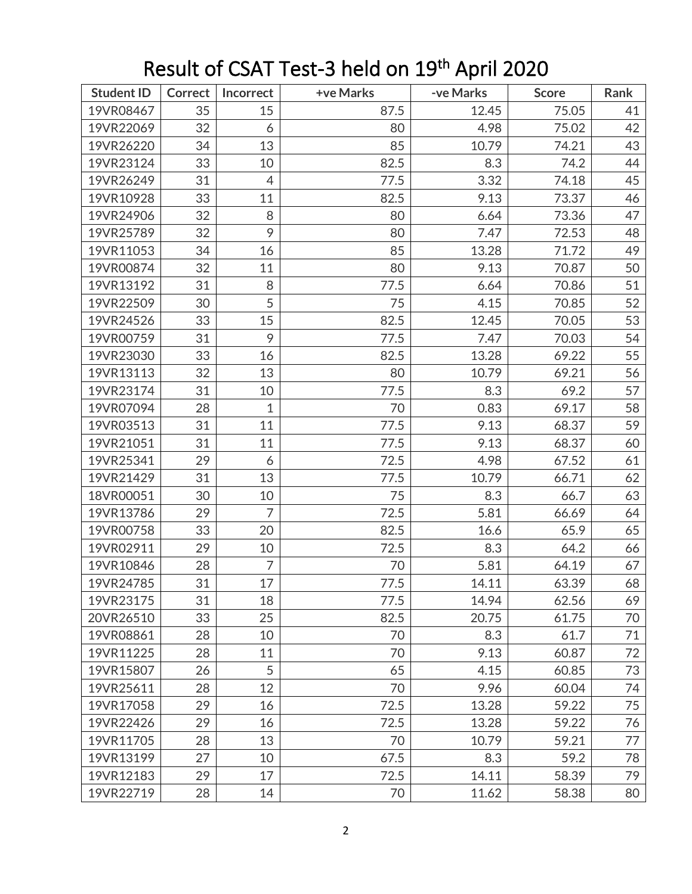| <b>Student ID</b> | <b>Correct</b> | Incorrect      | +ve Marks | -ve Marks | <b>Score</b> | Rank |
|-------------------|----------------|----------------|-----------|-----------|--------------|------|
| 19VR08467         | 35             | 15             | 87.5      | 12.45     | 75.05        | 41   |
| 19VR22069         | 32             | 6              | 80        | 4.98      | 75.02        | 42   |
| 19VR26220         | 34             | 13             | 85        | 10.79     | 74.21        | 43   |
| 19VR23124         | 33             | 10             | 82.5      | 8.3       | 74.2         | 44   |
| 19VR26249         | 31             | $\overline{4}$ | 77.5      | 3.32      | 74.18        | 45   |
| 19VR10928         | 33             | 11             | 82.5      | 9.13      | 73.37        | 46   |
| 19VR24906         | 32             | 8              | 80        | 6.64      | 73.36        | 47   |
| 19VR25789         | 32             | 9              | 80        | 7.47      | 72.53        | 48   |
| 19VR11053         | 34             | 16             | 85        | 13.28     | 71.72        | 49   |
| 19VR00874         | 32             | 11             | 80        | 9.13      | 70.87        | 50   |
| 19VR13192         | 31             | 8              | 77.5      | 6.64      | 70.86        | 51   |
| 19VR22509         | 30             | 5              | 75        | 4.15      | 70.85        | 52   |
| 19VR24526         | 33             | 15             | 82.5      | 12.45     | 70.05        | 53   |
| 19VR00759         | 31             | 9              | 77.5      | 7.47      | 70.03        | 54   |
| 19VR23030         | 33             | 16             | 82.5      | 13.28     | 69.22        | 55   |
| 19VR13113         | 32             | 13             | 80        | 10.79     | 69.21        | 56   |
| 19VR23174         | 31             | 10             | 77.5      | 8.3       | 69.2         | 57   |
| 19VR07094         | 28             | $\mathbf 1$    | 70        | 0.83      | 69.17        | 58   |
| 19VR03513         | 31             | 11             | 77.5      | 9.13      | 68.37        | 59   |
| 19VR21051         | 31             | 11             | 77.5      | 9.13      | 68.37        | 60   |
| 19VR25341         | 29             | 6              | 72.5      | 4.98      | 67.52        | 61   |
| 19VR21429         | 31             | 13             | 77.5      | 10.79     | 66.71        | 62   |
| 18VR00051         | 30             | 10             | 75        | 8.3       | 66.7         | 63   |
| 19VR13786         | 29             | $\overline{7}$ | 72.5      | 5.81      | 66.69        | 64   |
| 19VR00758         | 33             | 20             | 82.5      | 16.6      | 65.9         | 65   |
| 19VR02911         | 29             | 10             | 72.5      | 8.3       | 64.2         | 66   |
| 19VR10846         | 28             | 7              | 70        | 5.81      | 64.19        | 67   |
| 19VR24785         | 31             | 17             | 77.5      | 14.11     | 63.39        | 68   |
| 19VR23175         | 31             | 18             | 77.5      | 14.94     | 62.56        | 69   |
| 20VR26510         | 33             | 25             | 82.5      | 20.75     | 61.75        | 70   |
| 19VR08861         | 28             | 10             | 70        | 8.3       | 61.7         | 71   |
| 19VR11225         | 28             | 11             | 70        | 9.13      | 60.87        | 72   |
| 19VR15807         | 26             | 5              | 65        | 4.15      | 60.85        | 73   |
| 19VR25611         | 28             | 12             | 70        | 9.96      | 60.04        | 74   |
| 19VR17058         | 29             | 16             | 72.5      | 13.28     | 59.22        | 75   |
| 19VR22426         | 29             | 16             | 72.5      | 13.28     | 59.22        | 76   |
| 19VR11705         | 28             | 13             | 70        | 10.79     | 59.21        | 77   |
| 19VR13199         | 27             | 10             | 67.5      | 8.3       | 59.2         | 78   |
| 19VR12183         | 29             | 17             | 72.5      | 14.11     | 58.39        | 79   |
| 19VR22719         | 28             | 14             | 70        | 11.62     | 58.38        | 80   |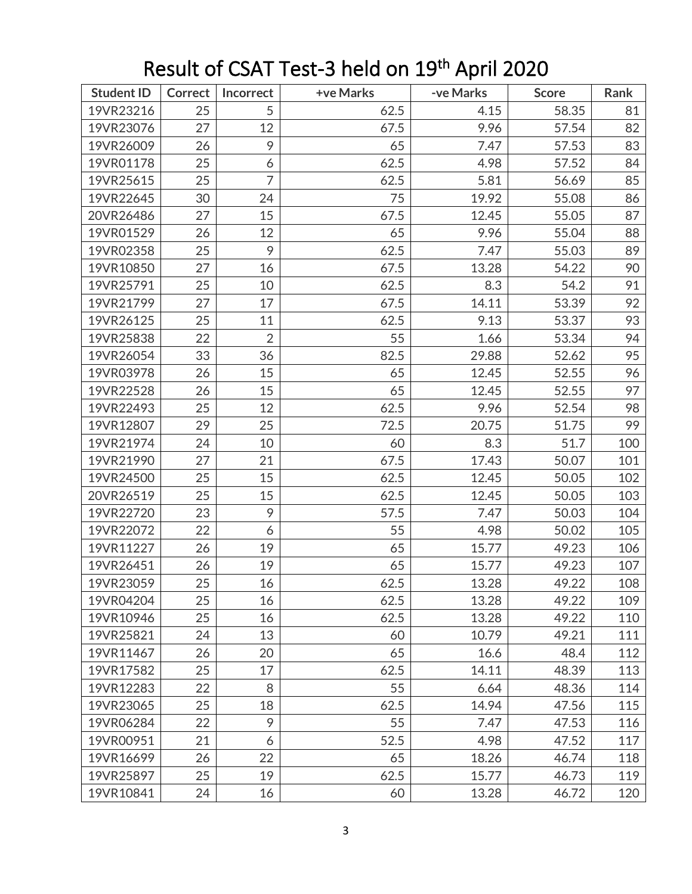| <b>Student ID</b> | Correct | Incorrect      | +ve Marks | -ve Marks | <b>Score</b> | Rank |
|-------------------|---------|----------------|-----------|-----------|--------------|------|
| 19VR23216         | 25      | 5              | 62.5      | 4.15      | 58.35        | 81   |
| 19VR23076         | 27      | 12             | 67.5      | 9.96      | 57.54        | 82   |
| 19VR26009         | 26      | 9              | 65        | 7.47      | 57.53        | 83   |
| 19VR01178         | 25      | 6              | 62.5      | 4.98      | 57.52        | 84   |
| 19VR25615         | 25      | 7              | 62.5      | 5.81      | 56.69        | 85   |
| 19VR22645         | 30      | 24             | 75        | 19.92     | 55.08        | 86   |
| 20VR26486         | 27      | 15             | 67.5      | 12.45     | 55.05        | 87   |
| 19VR01529         | 26      | 12             | 65        | 9.96      | 55.04        | 88   |
| 19VR02358         | 25      | 9              | 62.5      | 7.47      | 55.03        | 89   |
| 19VR10850         | 27      | 16             | 67.5      | 13.28     | 54.22        | 90   |
| 19VR25791         | 25      | 10             | 62.5      | 8.3       | 54.2         | 91   |
| 19VR21799         | 27      | 17             | 67.5      | 14.11     | 53.39        | 92   |
| 19VR26125         | 25      | 11             | 62.5      | 9.13      | 53.37        | 93   |
| 19VR25838         | 22      | $\overline{2}$ | 55        | 1.66      | 53.34        | 94   |
| 19VR26054         | 33      | 36             | 82.5      | 29.88     | 52.62        | 95   |
| 19VR03978         | 26      | 15             | 65        | 12.45     | 52.55        | 96   |
| 19VR22528         | 26      | 15             | 65        | 12.45     | 52.55        | 97   |
| 19VR22493         | 25      | 12             | 62.5      | 9.96      | 52.54        | 98   |
| 19VR12807         | 29      | 25             | 72.5      | 20.75     | 51.75        | 99   |
| 19VR21974         | 24      | 10             | 60        | 8.3       | 51.7         | 100  |
| 19VR21990         | 27      | 21             | 67.5      | 17.43     | 50.07        | 101  |
| 19VR24500         | 25      | 15             | 62.5      | 12.45     | 50.05        | 102  |
| 20VR26519         | 25      | 15             | 62.5      | 12.45     | 50.05        | 103  |
| 19VR22720         | 23      | 9              | 57.5      | 7.47      | 50.03        | 104  |
| 19VR22072         | 22      | 6              | 55        | 4.98      | 50.02        | 105  |
| 19VR11227         | 26      | 19             | 65        | 15.77     | 49.23        | 106  |
| 19VR26451         | 26      | 19             | 65        | 15.77     | 49.23        | 107  |
| 19VR23059         | 25      | 16             | 62.5      | 13.28     | 49.22        | 108  |
| 19VR04204         | 25      | 16             | 62.5      | 13.28     | 49.22        | 109  |
| 19VR10946         | 25      | 16             | 62.5      | 13.28     | 49.22        | 110  |
| 19VR25821         | 24      | 13             | 60        | 10.79     | 49.21        | 111  |
| 19VR11467         | 26      | 20             | 65        | 16.6      | 48.4         | 112  |
| 19VR17582         | 25      | 17             | 62.5      | 14.11     | 48.39        | 113  |
| 19VR12283         | 22      | 8              | 55        | 6.64      | 48.36        | 114  |
| 19VR23065         | 25      | 18             | 62.5      | 14.94     | 47.56        | 115  |
| 19VR06284         | 22      | 9              | 55        | 7.47      | 47.53        | 116  |
| 19VR00951         | 21      | 6              | 52.5      | 4.98      | 47.52        | 117  |
| 19VR16699         | 26      | 22             | 65        | 18.26     | 46.74        | 118  |
| 19VR25897         | 25      | 19             | 62.5      | 15.77     | 46.73        | 119  |
| 19VR10841         | 24      | 16             | 60        | 13.28     | 46.72        | 120  |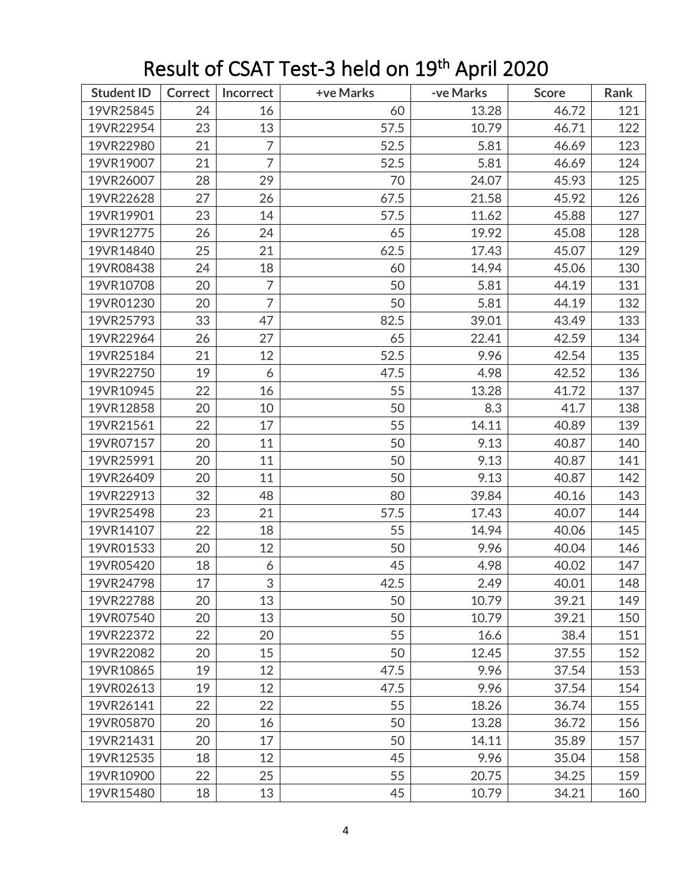| <b>Student ID</b> | Correct | <b>Incorrect</b> | +ve Marks | -ve Marks | <b>Score</b> | Rank |
|-------------------|---------|------------------|-----------|-----------|--------------|------|
| 19VR25845         | 24      | 16               | 60        | 13.28     | 46.72        | 121  |
| 19VR22954         | 23      | 13               | 57.5      | 10.79     | 46.71        | 122  |
| 19VR22980         | 21      | 7                | 52.5      | 5.81      | 46.69        | 123  |
| 19VR19007         | 21      | $\overline{7}$   | 52.5      | 5.81      | 46.69        | 124  |
| 19VR26007         | 28      | 29               | 70        | 24.07     | 45.93        | 125  |
| 19VR22628         | 27      | 26               | 67.5      | 21.58     | 45.92        | 126  |
| 19VR19901         | 23      | 14               | 57.5      | 11.62     | 45.88        | 127  |
| 19VR12775         | 26      | 24               | 65        | 19.92     | 45.08        | 128  |
| 19VR14840         | 25      | 21               | 62.5      | 17.43     | 45.07        | 129  |
| 19VR08438         | 24      | 18               | 60        | 14.94     | 45.06        | 130  |
| 19VR10708         | 20      | 7                | 50        | 5.81      | 44.19        | 131  |
| 19VR01230         | 20      | $\overline{7}$   | 50        | 5.81      | 44.19        | 132  |
| 19VR25793         | 33      | 47               | 82.5      | 39.01     | 43.49        | 133  |
| 19VR22964         | 26      | 27               | 65        | 22.41     | 42.59        | 134  |
| 19VR25184         | 21      | 12               | 52.5      | 9.96      | 42.54        | 135  |
| 19VR22750         | 19      | 6                | 47.5      | 4.98      | 42.52        | 136  |
| 19VR10945         | 22      | 16               | 55        | 13.28     | 41.72        | 137  |
| 19VR12858         | 20      | 10               | 50        | 8.3       | 41.7         | 138  |
| 19VR21561         | 22      | 17               | 55        | 14.11     | 40.89        | 139  |
| 19VR07157         | 20      | 11               | 50        | 9.13      | 40.87        | 140  |
| 19VR25991         | 20      | 11               | 50        | 9.13      | 40.87        | 141  |
| 19VR26409         | 20      | 11               | 50        | 9.13      | 40.87        | 142  |
| 19VR22913         | 32      | 48               | 80        | 39.84     | 40.16        | 143  |
| 19VR25498         | 23      | 21               | 57.5      | 17.43     | 40.07        | 144  |
| 19VR14107         | 22      | 18               | 55        | 14.94     | 40.06        | 145  |
| 19VR01533         | 20      | 12               | 50        | 9.96      | 40.04        | 146  |
| 19VR05420         | 18      | 6                | 45        | 4.98      | 40.02        | 147  |
| 19VR24798         | 17      | 3                | 42.5      | 2.49      | 40.01        | 148  |
| 19VR22788         | 20      | 13               | 50        | 10.79     | 39.21        | 149  |
| 19VR07540         | 20      | 13               | 50        | 10.79     | 39.21        | 150  |
| 19VR22372         | 22      | 20               | 55        | 16.6      | 38.4         | 151  |
| 19VR22082         | 20      | 15               | 50        | 12.45     | 37.55        | 152  |
| 19VR10865         | 19      | 12               | 47.5      | 9.96      | 37.54        | 153  |
| 19VR02613         | 19      | 12               | 47.5      | 9.96      | 37.54        | 154  |
| 19VR26141         | 22      | 22               | 55        | 18.26     | 36.74        | 155  |
| 19VR05870         | 20      | 16               | 50        | 13.28     | 36.72        | 156  |
| 19VR21431         | 20      | 17               | 50        | 14.11     | 35.89        | 157  |
| 19VR12535         | 18      | 12               | 45        | 9.96      | 35.04        | 158  |
| 19VR10900         | 22      | 25               | 55        | 20.75     | 34.25        | 159  |
| 19VR15480         | 18      | 13               | 45        | 10.79     | 34.21        | 160  |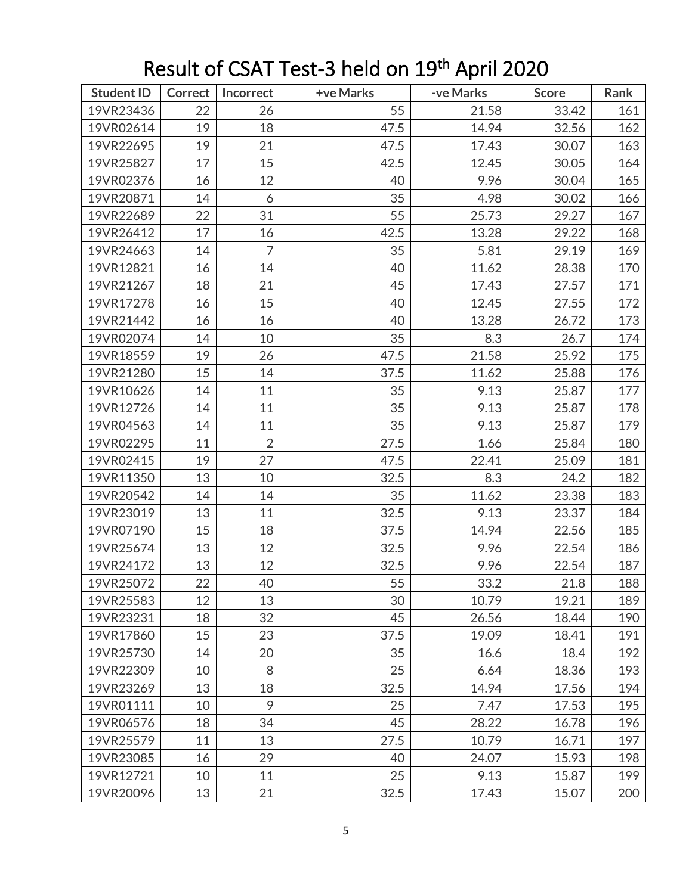| <b>Student ID</b> | Correct | Incorrect      | +ve Marks | -ve Marks | <b>Score</b> | Rank |
|-------------------|---------|----------------|-----------|-----------|--------------|------|
| 19VR23436         | 22      | 26             | 55        | 21.58     | 33.42        | 161  |
| 19VR02614         | 19      | 18             | 47.5      | 14.94     | 32.56        | 162  |
| 19VR22695         | 19      | 21             | 47.5      | 17.43     | 30.07        | 163  |
| 19VR25827         | 17      | 15             | 42.5      | 12.45     | 30.05        | 164  |
| 19VR02376         | 16      | 12             | 40        | 9.96      | 30.04        | 165  |
| 19VR20871         | 14      | 6              | 35        | 4.98      | 30.02        | 166  |
| 19VR22689         | 22      | 31             | 55        | 25.73     | 29.27        | 167  |
| 19VR26412         | 17      | 16             | 42.5      | 13.28     | 29.22        | 168  |
| 19VR24663         | 14      | $\overline{7}$ | 35        | 5.81      | 29.19        | 169  |
| 19VR12821         | 16      | 14             | 40        | 11.62     | 28.38        | 170  |
| 19VR21267         | 18      | 21             | 45        | 17.43     | 27.57        | 171  |
| 19VR17278         | 16      | 15             | 40        | 12.45     | 27.55        | 172  |
| 19VR21442         | 16      | 16             | 40        | 13.28     | 26.72        | 173  |
| 19VR02074         | 14      | 10             | 35        | 8.3       | 26.7         | 174  |
| 19VR18559         | 19      | 26             | 47.5      | 21.58     | 25.92        | 175  |
| 19VR21280         | 15      | 14             | 37.5      | 11.62     | 25.88        | 176  |
| 19VR10626         | 14      | 11             | 35        | 9.13      | 25.87        | 177  |
| 19VR12726         | 14      | 11             | 35        | 9.13      | 25.87        | 178  |
| 19VR04563         | 14      | 11             | 35        | 9.13      | 25.87        | 179  |
| 19VR02295         | 11      | $\overline{2}$ | 27.5      | 1.66      | 25.84        | 180  |
| 19VR02415         | 19      | 27             | 47.5      | 22.41     | 25.09        | 181  |
| 19VR11350         | 13      | 10             | 32.5      | 8.3       | 24.2         | 182  |
| 19VR20542         | 14      | 14             | 35        | 11.62     | 23.38        | 183  |
| 19VR23019         | 13      | 11             | 32.5      | 9.13      | 23.37        | 184  |
| 19VR07190         | 15      | 18             | 37.5      | 14.94     | 22.56        | 185  |
| 19VR25674         | 13      | 12             | 32.5      | 9.96      | 22.54        | 186  |
| 19VR24172         | 13      | 12             | 32.5      | 9.96      | 22.54        | 187  |
| 19VR25072         | 22      | 40             | 55        | 33.2      | 21.8         | 188  |
| 19VR25583         | 12      | 13             | 30        | 10.79     | 19.21        | 189  |
| 19VR23231         | 18      | 32             | 45        | 26.56     | 18.44        | 190  |
| 19VR17860         | 15      | 23             | 37.5      | 19.09     | 18.41        | 191  |
| 19VR25730         | 14      | 20             | 35        | 16.6      | 18.4         | 192  |
| 19VR22309         | 10      | 8              | 25        | 6.64      | 18.36        | 193  |
| 19VR23269         | 13      | 18             | 32.5      | 14.94     | 17.56        | 194  |
| 19VR01111         | 10      | 9              | 25        | 7.47      | 17.53        | 195  |
| 19VR06576         | 18      | 34             | 45        | 28.22     | 16.78        | 196  |
| 19VR25579         | 11      | 13             | 27.5      | 10.79     | 16.71        | 197  |
| 19VR23085         | 16      | 29             | 40        | 24.07     | 15.93        | 198  |
| 19VR12721         | 10      | 11             | 25        | 9.13      | 15.87        | 199  |
| 19VR20096         | 13      | 21             | 32.5      | 17.43     | 15.07        | 200  |